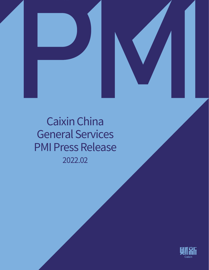



# 2022.02 Caixin China General Services PMI Press Release

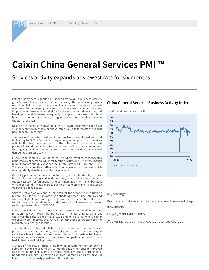Embargoed until 0945 CST (0145 UTC) 3 March 2022

## **Caixin China General Services PMI**

Services activity expands at slowest rate for six months

Latest survey data signalled a further slowdown in business activity growth across China's service sector in February. Output rose only slightly overall, while firms reported a renewed fall in overall new business, which was linked to the ongoing pandemic and measures to contain the virus. Employment meanwhile fell slightly for the second month in a row, and backlogs of work increased marginally. Cost pressures eased, with both input costs and output charges rising at slower rates than those seen at the start of the year.

Despite the recent slowdown in activity growth, businesses expressed stronger optimism for the year ahead, often linked to forecasts of a robust post-pandemic recovery.

The seasonally adjusted headline Business Activity Index slipped from 51.4 in January to 50.2 in February, to signal only a marginal rise in services activity. Notably, the expansion was the softest seen since the current period of growth began last September. According to panel members, the ongoing pandemic and measures to stem the spread of the virus had dampened business activity.

Measures to contain COVID-19 cases, including travel restrictions, also impacted client demand, which fell for the first time in six months. Though mild, it marked the quickest decline in total new work since April 2020. This was partly due to a further reduction in new export business, which was reportedly also dampened by the pandemic.

Capacity pressures moderated in February, as highlighted by a softer increase in outstanding workloads. Notably, the rate of accumulation was the slowest seen for four months and only marginal. When higher backlogs were reported, this was generally due to the pandemic and its impact on operations and logistics.

Service sector employment in China fell for the second month running in February. However, the rate of job shedding eased since January and was only slight. Firms that registered lower headcounts often linked this to relatively subdued demand conditions and challenges recruiting or replacing workers due to COVID-19.

Latest survey data showed a notable slowdown in the rate of input price inflation midway through the first quarter. The latest increase in input costs was the softest since August 2021 and mild overall. Where higher expenses were reported, they were often attributed to greater costs for raw materials, energy and labour.

The rate of prices charged inflation likewise slowed in February. Service providers raised their fees only modestly, with some firms choosing to raise their fees in order to pass on additional cost burdens to clients. However, there were reports that increased competition for new business had limited overall pricing power.

Although firms saw a further slowdown in growth momentum during February, optimism around the 12-month outlook for output improved to a three-month high. Service providers generally expect a strong postpandemic recovery, improving customer demand and new product launches to drive activity growth over the next year.

#### **China General Services Business Activity Index**

 $sa$ ,  $>50$  = growth since previous month



#### Key findings:

Business activity rises at slower pace amid renewed drop in new orders

Employment falls slightly

Weaker increases in input costs and prices charged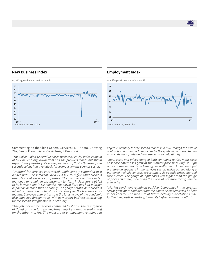则乱

#### **New Business Index**



Commenting on the China General Services PMI ™ data, Dr. Wang Zhe, Senior Economist at Caixin Insight Group said:

*"The Caixin China General Services Business Activity Index came in at 50.2 in February, down from 51.4 the previous month but still in expansionary territory. Over the past month, Covid-19 flare-ups in several regions had a relatively large impact on the services sector.*

*"Demand for services contracted, while supply expanded at a limited pace. The spread of Covid-19 in several regions hurt business operations of service companies. The business activity index managed to remain in expansionary territory in February, but fell to its lowest point in six months. The Covid flare-ups had a larger impact on demand than on supply. The gauge of total new business fell into contractionary territory in February for the first time in six months. Surveyed enterprises said the latest wave of the pandemic also impacted foreign trade, with new export business contracting for the second straight month in February.*

*"The job market for services continued to shrink. The resurgence of Covid and the largely weakened market demand took a toll on the labor market. The measure of employment remained in* 

#### **Employment Index**



*negative territory for the second month in a row, though the rate of contraction was limited. Impacted by the epidemic and weakening market demand, outstanding business rose only slightly.* 

*"Input costs and prices charged both continued to rise. Input costs of service enterprises grew at the slowest pace since August. High prices of raw materials and energy, as well as high labor costs, put pressure on suppliers in the services sector, which passed along a portion of their higher costs to customers. As a result, prices charged rose further. The gauge of input costs was higher than the gauge of prices charged, indicating the survival pressure facing service enterprises.*

*"Market sentiment remained positive. Companies in the services sector grew more confident that the domestic epidemic will be kept under control. The measure of future activity expectations rose further into positive territory, hitting its highest in three months."*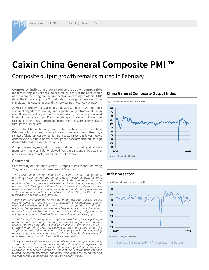Embargoed until 0945 CST (0145 UTC) 3 March 2022

## **Caixin China General Composite PMI**

Composite output growth remains muted in February

Composite indices are weighted averages of comparable manufacturing and services indices. Weights reflect the relative size of the manufacturing and service sectors according to official GDP data. The China Composite Output Index is a weighted average of the Manufacturing Output Index and the Services Business Activity Index.

At 50.1 in February, the seasonally adjusted Composite Output Index was unchanged from January and signalled only a fractional rise in overall business activity across China. As a result, the reading remained below the series average (52.6). Underlying data showed that output rose fractionally across both manufacturing and service sectors midway through the first quarter.

After a slight fall in January, composite new business was stable in February, with a modest increase in sales at manufacturers offsetting a renewed fall at services companies. Both sectors recorded lower intakes of new export business, however, though the pace at which total foreign demand decreased eased since January.

Composite employment fell for the second month running, albeit only marginally. Input cost inflation slowed from January, driven by a weaker increase in services costs, but remained solid overall.

#### **Comment**

Commenting on the China General Composite PMI ™ data, Dr. Wang Zhe, Senior Economist at Caixin Insight Group said:

*"The Caixin China General Composite PMI came in at 50.1 in February, unchanged from the previous month. Output in both the manufacturing and services sectors grew slightly. Demand in the manufacturing sector*  experienced a strong recovery, while demand for services was clearly under *pressure due to the impact of the epidemic. Overseas demand was weak due to the pandemic. The labor markets in both the manufacturing and services sectors shrank. Input costs and output prices continued to grow. We still need to keep an eye on inflationary pressure.* 

*"Overall, the manufacturing PMI rose in February, while the services PMI fell,*  but both remained in positive territory. Demand in the manufacturing sector but both remained in positive territory. Demand in the manufacturing sector improved, while demand in the services sector was greatly affected by the *epidemic. Entrepreneurs remained relatively optimistic about the outlook for their businesses. The job market remained subdued, and pressure on employment remained elevated. Meanwhile, inflation was picking up.*

*"From January to February, several regions across China, including Jiangsu province and the Guangxi Zhuang and Inner Mongolia autonomous regions, suffered flare-ups of Covid-19. Epidemic control measures were strengthened, which restricted transportation and sales. Under the "triple pressure" of demand contraction, supply shocks and weakening expectations, the economy's recovery is still not robust. Stabilizing economic growth remains an important focus of the government.* 

*"Policymakers should enhance support policies to encourage employment, strengthen structural support for small and midsize enterprises and effectively reduce the tax burden and fundraising costs for companies. Meanwhile, they should maintain a stable market environment, continue to stabilize commodity supply and prices, and lighten the cost burden on businesses in the middle and lower reaches of supply chains."*

### **China General Composite Output Index**





#### **Index by sector**

 $sa$ ,  $>50$  = growth since previous month

 $25$ 30 35  $40$ 45 50 55 60 2017 2022

Sources: Caixin, IHS Markit

Services Business Activity / Manufacturing Output